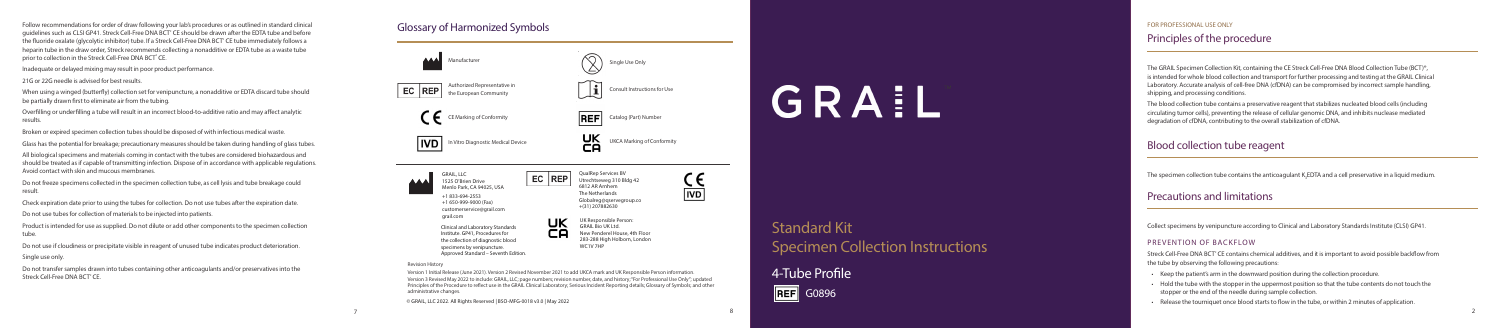© GRAIL, LLC 2022. All Rights Reserved | BSO-MFG-0018 v3.0 | May 2022

# GRAIL

# Blood collection tube reagent

The specimen collection tube contains the anticoagulant  $\mathsf{K}_{\!_3}$ EDTA and a cell preservative in a liquid medium.

The GRAIL Specimen Collection Kit, containing the CE Streck Cell-Free DNA Blood Collection Tube (BCT)®, is intended for whole blood collection and transport for further processing and testing at the GRAIL Clinical Laboratory. Accurate analysis of cell-free DNA (cfDNA) can be compromised by incorrect sample handling, shipping, and processing conditions.

Streck Cell-Free DNA BCT° CE contains chemical additives, and it is important to avoid possible backflow from the tube by observing the following precautions:

Follow recommendations for order of draw following your lab's procedures or as outlined in standard clinical guidelines such as CLSI GP41. Streck Cell-Free DNA BCT<sup>®</sup> CE should be drawn after the EDTA tube and before the fluoride oxalate (glycolytic inhibitor) tube. If a Streck Cell-Free DNA BCT ® CE tube immediately follows a heparin tube in the draw order, Streck recommends collecting a nonadditive or EDTA tube as a waste tube prior to collection in the Streck Cell-Free DNA BCT° CE.

> The blood collection tube contains a preservative reagent that stabilizes nucleated blood cells (including circulating tumor cells), preventing the release of cellular genomic DNA, and inhibits nuclease mediated degradation of cfDNA, contributing to the overall stabilization of cfDNA.

## Principles of the procedure

Collect specimens by venipuncture according to Clinical and Laboratory Standards Institute (CLSI) GP41.

## PREVENTION OF BACKELOW

- Keep the patient's arm in the downward position during the collection procedure.
- Hold the tube with the stopper in the uppermost position so that the tube contents do not touch the stopper or the end of the needle during sample collection.
- Release the tourniquet once blood starts to flow in the tube, or within 2 minutes of application.

# Precautions and limitations

Do not transfer samples drawn into tubes containing other anticoagulants and/or preservatives into the Streck Cell-Free DNA BCT<sup>®</sup> CE.

Inadequate or delayed mixing may result in poor product performance.



21G or 22G needle is advised for best results.

When using a winged (butterfly) collection set for venipuncture, a nonadditive or EDTA discard tube should be partially drawn first to eliminate air from the tubing.

Overfilling or underfilling a tube will result in an incorrect blood-to-additive ratio and may affect analytic results.

Broken or expired specimen collection tubes should be disposed of with infectious medical waste.

Glass has the potential for breakage; precautionary measures should be taken during handling of glass tubes.

All biological specimens and materials coming in contact with the tubes are considered biohazardous and should be treated as if capable of transmitting infection. Dispose of in accordance with applicable regulations. Avoid contact with skin and mucous membranes.

Do not freeze specimens collected in the specimen collection tube, as cell lysis and tube breakage could result.

Check expiration date prior to using the tubes for collection. Do not use tubes after the expiration date. Do not use tubes for collection of materials to be injected into patients.

Product is intended for use as supplied. Do not dilute or add other components to the specimen collection tube.

Do not use if cloudiness or precipitate visible in reagent of unused tube indicates product deterioration.

Single use only.

# Standard Kit

# Specimen Collection Instructions

4-Tube Profile

## FOR PROFESSIONAL USE ONLY

# Glossary of Harmonized Symbols



### Revision History

Version 1 Initial Release (June 2021). Version 2 Revised November 2021 to add UKCA mark and UK Responsible Person information. Version 3 Revised May 2022 to include: GRAIL, LLC; page numbers; revision number, date, and history; "For Professional Use Only"; updated Principles of the Procedure to reflect use in the GRAIL Clinical Laboratory; Serious Incident Reporting details; Glossary of Symbols; and other administrative changes.